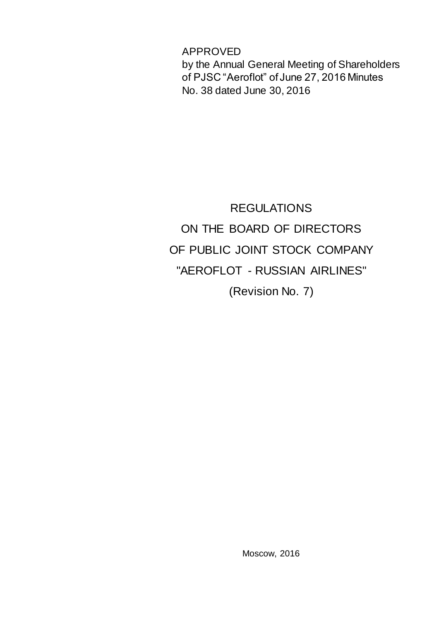APPROVED by the Annual General Meeting of Shareholders of PJSC "Aeroflot" of June 27, 2016 Minutes No. 38 dated June 30, 2016

REGULATIONS ON THE BOARD OF DIRECTORS OF PUBLIC JOINT STOCK COMPANY "AEROFLOT - RUSSIAN AIRLINES" (Revision No. 7)

Moscow, 2016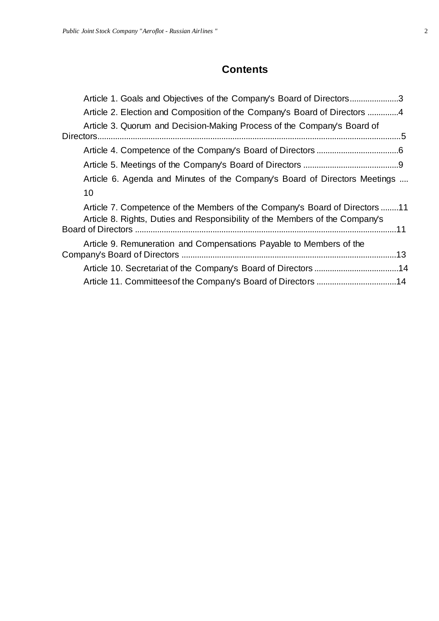# **Contents**

| Article 1. Goals and Objectives of the Company's Board of Directors3                                                                                        |  |
|-------------------------------------------------------------------------------------------------------------------------------------------------------------|--|
| Article 2. Election and Composition of the Company's Board of Directors 4                                                                                   |  |
| Article 3. Quorum and Decision-Making Process of the Company's Board of                                                                                     |  |
|                                                                                                                                                             |  |
|                                                                                                                                                             |  |
|                                                                                                                                                             |  |
| Article 6. Agenda and Minutes of the Company's Board of Directors Meetings                                                                                  |  |
| 10                                                                                                                                                          |  |
| Article 7. Competence of the Members of the Company's Board of Directors 11<br>Article 8. Rights, Duties and Responsibility of the Members of the Company's |  |
|                                                                                                                                                             |  |
| Article 9. Remuneration and Compensations Payable to Members of the                                                                                         |  |
|                                                                                                                                                             |  |
|                                                                                                                                                             |  |
| Article 11. Committees of the Company's Board of Directors 14                                                                                               |  |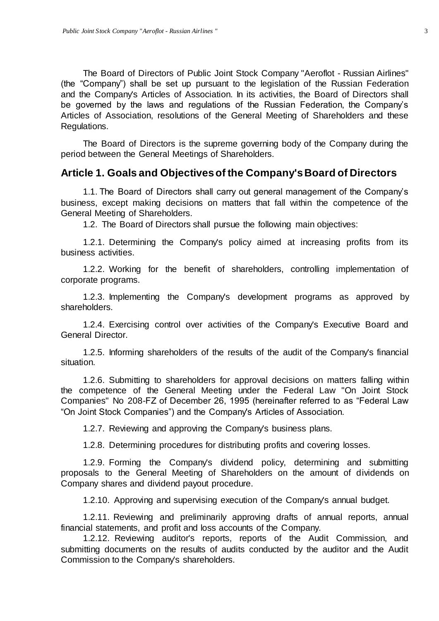The Board of Directors of Public Joint Stock Company "Aeroflot - Russian Airlines" (the "Company") shall be set up pursuant to the legislation of the Russian Federation and the Company's Articles of Association. In its activities, the Board of Directors shall be governed by the laws and regulations of the Russian Federation, the Company's Articles of Association, resolutions of the General Meeting of Shareholders and these Regulations.

The Board of Directors is the supreme governing body of the Company during the period between the General Meetings of Shareholders.

#### <span id="page-2-0"></span>**Article 1. Goals and Objectives of the Company's Board of Directors**

1.1. The Board of Directors shall carry out general management of the Company's business, except making decisions on matters that fall within the competence of the General Meeting of Shareholders.

1.2. The Board of Directors shall pursue the following main objectives:

1.2.1. Determining the Company's policy aimed at increasing profits from its business activities.

1.2.2. Working for the benefit of shareholders, controlling implementation of corporate programs.

1.2.3. Implementing the Company's development programs as approved by shareholders.

1.2.4. Exercising control over activities of the Company's Executive Board and General Director.

1.2.5. Informing shareholders of the results of the audit of the Company's financial situation.

1.2.6. Submitting to shareholders for approval decisions on matters falling within the competence of the General Meeting under the Federal Law "On Joint Stock Companies" No 208-FZ of December 26, 1995 (hereinafter referred to as "Federal Law "On Joint Stock Companies") and the Company's Articles of Association.

1.2.7. Reviewing and approving the Company's business plans.

1.2.8. Determining procedures for distributing profits and covering losses.

1.2.9. Forming the Company's dividend policy, determining and submitting proposals to the General Meeting of Shareholders on the amount of dividends on Company shares and dividend payout procedure.

1.2.10. Approving and supervising execution of the Company's annual budget.

1.2.11. Reviewing and preliminarily approving drafts of annual reports, annual financial statements, and profit and loss accounts of the Company.

1.2.12. Reviewing auditor's reports, reports of the Audit Commission, and submitting documents on the results of audits conducted by the auditor and the Audit Commission to the Company's shareholders.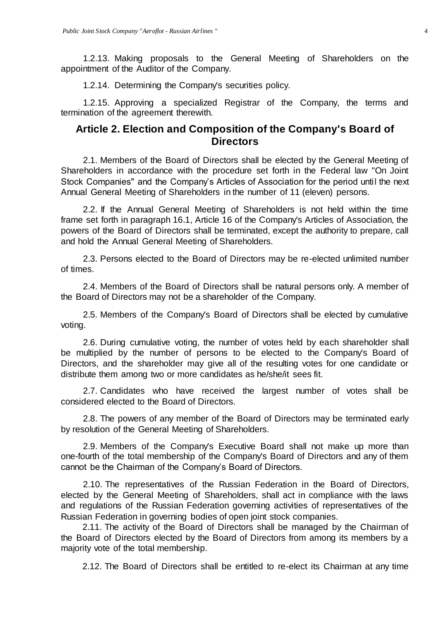1.2.13. Making proposals to the General Meeting of Shareholders on the appointment of the Auditor of the Company.

1.2.14. Determining the Company's securities policy.

1.2.15. Approving a specialized Registrar of the Company, the terms and termination of the agreement therewith.

# <span id="page-3-0"></span>**Article 2. Election and Composition of the Company's Board of Directors**

2.1. Members of the Board of Directors shall be elected by the General Meeting of Shareholders in accordance with the procedure set forth in the Federal law "On Joint Stock Companies" and the Company's Articles of Association for the period until the next Annual General Meeting of Shareholders in the number of 11 (eleven) persons.

2.2. If the Annual General Meeting of Shareholders is not held within the time frame set forth in paragraph 16.1, Article 16 of the Company's Articles of Association, the powers of the Board of Directors shall be terminated, except the authority to prepare, call and hold the Annual General Meeting of Shareholders.

2.3. Persons elected to the Board of Directors may be re-elected unlimited number of times.

2.4. Members of the Board of Directors shall be natural persons only. A member of the Board of Directors may not be a shareholder of the Company.

2.5. Members of the Company's Board of Directors shall be elected by cumulative voting.

2.6. During cumulative voting, the number of votes held by each shareholder shall be multiplied by the number of persons to be elected to the Company's Board of Directors, and the shareholder may give all of the resulting votes for one candidate or distribute them among two or more candidates as he/she/it sees fit.

2.7. Candidates who have received the largest number of votes shall be considered elected to the Board of Directors.

2.8. The powers of any member of the Board of Directors may be terminated early by resolution of the General Meeting of Shareholders.

2.9. Members of the Company's Executive Board shall not make up more than one-fourth of the total membership of the Company's Board of Directors and any of them cannot be the Chairman of the Company's Board of Directors.

2.10. The representatives of the Russian Federation in the Board of Directors, elected by the General Meeting of Shareholders, shall act in compliance with the laws and regulations of the Russian Federation governing activities of representatives of the Russian Federation in governing bodies of open joint stock companies.

2.11. The activity of the Board of Directors shall be managed by the Chairman of the Board of Directors elected by the Board of Directors from among its members by a majority vote of the total membership.

2.12. The Board of Directors shall be entitled to re-elect its Chairman at any time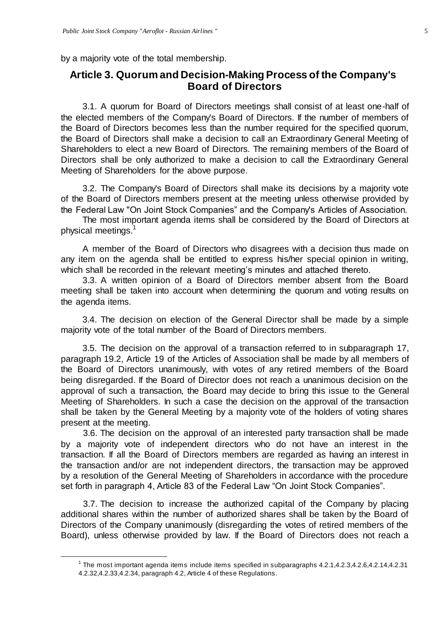by a majority vote of the total membership.

 $\overline{a}$ 

# <span id="page-4-0"></span>**Article 3. Quorum and Decision-Making Process of the Company's Board of Directors**

3.1. A quorum for Board of Directors meetings shall consist of at least one-half of the elected members of the Company's Board of Directors. If the number of members of the Board of Directors becomes less than the number required for the specified quorum, the Board of Directors shall make a decision to call an Extraordinary General Meeting of Shareholders to elect a new Board of Directors. The remaining members of the Board of Directors shall be only authorized to make a decision to call the Extraordinary General Meeting of Shareholders for the above purpose.

3.2. The Company's Board of Directors shall make its decisions by a majority vote of the Board of Directors members present at the meeting unless otherwise provided by the Federal Law "On Joint Stock Companies" and the Company's Articles of Association.

The most important agenda items shall be considered by the Board of Directors at physical meetings.<sup>1</sup>

A member of the Board of Directors who disagrees with a decision thus made on any item on the agenda shall be entitled to express his/her special opinion in writing, which shall be recorded in the relevant meeting's minutes and attached thereto.

3.3. A written opinion of a Board of Directors member absent from the Board meeting shall be taken into account when determining the quorum and voting results on the agenda items.

3.4. The decision on election of the General Director shall be made by a simple majority vote of the total number of the Board of Directors members.

3.5. The decision on the approval of a transaction referred to in subparagraph 17, paragraph 19.2, Article 19 of the Articles of Association shall be made by all members of the Board of Directors unanimously, with votes of any retired members of the Board being disregarded. If the Board of Director does not reach a unanimous decision on the approval of such a transaction, the Board may decide to bring this issue to the General Meeting of Shareholders. In such a case the decision on the approval of the transaction shall be taken by the General Meeting by a majority vote of the holders of voting shares present at the meeting.

3.6. The decision on the approval of an interested party transaction shall be made by a majority vote of independent directors who do not have an interest in the transaction. If all the Board of Directors members are regarded as having an interest in the transaction and/or are not independent directors, the transaction may be approved by a resolution of the General Meeting of Shareholders in accordance with the procedure set forth in paragraph 4, Article 83 of the Federal Law "On Joint Stock Companies".

3.7. The decision to increase the authorized capital of the Company by placing additional shares within the number of authorized shares shall be taken by the Board of Directors of the Company unanimously (disregarding the votes of retired members of the Board), unless otherwise provided by law. If the Board of Directors does not reach a

<sup>&</sup>lt;sup>1</sup> The most important agenda items include items specified in subparagraphs  $4.2.1, 4.2.3, 4.2.6, 4.2.14, 4.2.31$ 4.2.32,4.2.33,4.2.34, paragraph 4.2, Article 4 of these Regulations.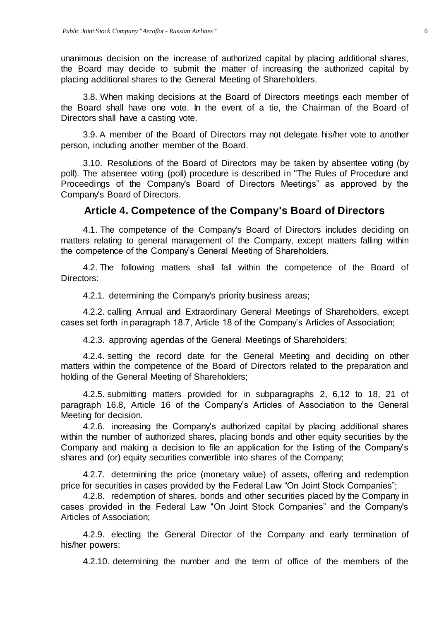unanimous decision on the increase of authorized capital by placing additional shares, the Board may decide to submit the matter of increasing the authorized capital by placing additional shares to the General Meeting of Shareholders.

3.8. When making decisions at the Board of Directors meetings each member of the Board shall have one vote. In the event of a tie, the Chairman of the Board of Directors shall have a casting vote.

3.9. A member of the Board of Directors may not delegate his/her vote to another person, including another member of the Board.

3.10. Resolutions of the Board of Directors may be taken by absentee voting (by poll). The absentee voting (poll) procedure is described in "The Rules of Procedure and Proceedings of the Company's Board of Directors Meetings" as approved by the Company's Board of Directors.

# **Article 4. Competence of the Company's Board of Directors**

<span id="page-5-0"></span>4.1. The competence of the Company's Board of Directors includes deciding on matters relating to general management of the Company, except matters falling within the competence of the Company's General Meeting of Shareholders.

4.2. The following matters shall fall within the competence of the Board of Directors:

4.2.1. determining the Company's priority business areas;

4.2.2. calling Annual and Extraordinary General Meetings of Shareholders, except cases set forth in paragraph 18.7, Article 18 of the Company's Articles of Association;

4.2.3. approving agendas of the General Meetings of Shareholders;

4.2.4. setting the record date for the General Meeting and deciding on other matters within the competence of the Board of Directors related to the preparation and holding of the General Meeting of Shareholders;

4.2.5. submitting matters provided for in subparagraphs 2, 6,12 to 18, 21 of paragraph 16.8, Article 16 of the Company's Articles of Association to the General Meeting for decision.

4.2.6. increasing the Company's authorized capital by placing additional shares within the number of authorized shares, placing bonds and other equity securities by the Company and making a decision to file an application for the listing of the Company's shares and (or) equity securities convertible into shares of the Company;

4.2.7. determining the price (monetary value) of assets, offering and redemption price for securities in cases provided by the Federal Law "On Joint Stock Companies";

4.2.8. redemption of shares, bonds and other securities placed by the Company in cases provided in the Federal Law "On Joint Stock Companies" and the Company's Articles of Association;

4.2.9. electing the General Director of the Company and early termination of his/her powers;

4.2.10. determining the number and the term of office of the members of the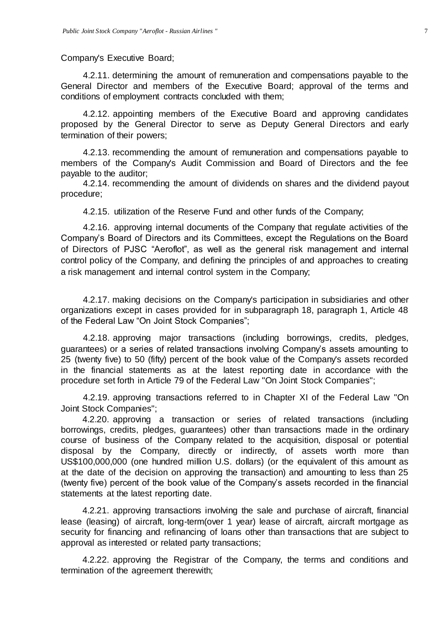Company's Executive Board;

4.2.11. determining the amount of remuneration and compensations payable to the General Director and members of the Executive Board; approval of the terms and conditions of employment contracts concluded with them;

4.2.12. appointing members of the Executive Board and approving candidates proposed by the General Director to serve as Deputy General Directors and early termination of their powers;

4.2.13. recommending the amount of remuneration and compensations payable to members of the Company's Audit Commission and Board of Directors and the fee payable to the auditor;

4.2.14. recommending the amount of dividends on shares and the dividend payout procedure;

4.2.15. utilization of the Reserve Fund and other funds of the Company;

4.2.16. approving internal documents of the Company that regulate activities of the Company's Board of Directors and its Committees, except the Regulations on the Board of Directors of PJSC "Aeroflot", as well as the general risk management and internal control policy of the Company, and defining the principles of and approaches to creating a risk management and internal control system in the Company;

4.2.17. making decisions on the Company's participation in subsidiaries and other organizations except in cases provided for in subparagraph 18, paragraph 1, Article 48 of the Federal Law "On Joint Stock Companies";

4.2.18. approving major transactions (including borrowings, credits, pledges, guarantees) or a series of related transactions involving Company's assets amounting to 25 (twenty five) to 50 (fifty) percent of the book value of the Company's assets recorded in the financial statements as at the latest reporting date in accordance with the procedure set forth in Article 79 of the Federal Law "On Joint Stock Companies";

4.2.19. approving transactions referred to in Chapter XI of the Federal Law "On Joint Stock Companies";

4.2.20. approving a transaction or series of related transactions (including borrowings, credits, pledges, guarantees) other than transactions made in the ordinary course of business of the Company related to the acquisition, disposal or potential disposal by the Company, directly or indirectly, of assets worth more than US\$100,000,000 (one hundred million U.S. dollars) (or the equivalent of this amount as at the date of the decision on approving the transaction) and amounting to less than 25 (twenty five) percent of the book value of the Company's assets recorded in the financial statements at the latest reporting date.

4.2.21. approving transactions involving the sale and purchase of aircraft, financial lease (leasing) of aircraft, long-term(over 1 year) lease of aircraft, aircraft mortgage as security for financing and refinancing of loans other than transactions that are subject to approval as interested or related party transactions;

4.2.22. approving the Registrar of the Company, the terms and conditions and termination of the agreement therewith;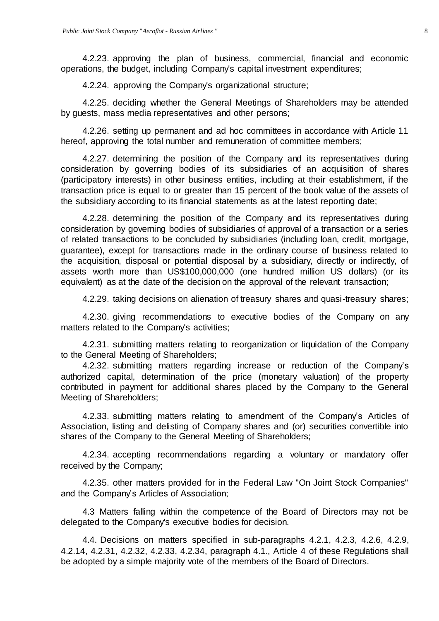4.2.23. approving the plan of business, commercial, financial and economic operations, the budget, including Company's capital investment expenditures;

4.2.24. approving the Company's organizational structure;

4.2.25. deciding whether the General Meetings of Shareholders may be attended by guests, mass media representatives and other persons;

4.2.26. setting up permanent and ad hoc committees in accordance with Article 11 hereof, approving the total number and remuneration of committee members;

4.2.27. determining the position of the Company and its representatives during consideration by governing bodies of its subsidiaries of an acquisition of shares (participatory interests) in other business entities, including at their establishment, if the transaction price is equal to or greater than 15 percent of the book value of the assets of the subsidiary according to its financial statements as at the latest reporting date;

4.2.28. determining the position of the Company and its representatives during consideration by governing bodies of subsidiaries of approval of a transaction or a series of related transactions to be concluded by subsidiaries (including loan, credit, mortgage, guarantee), except for transactions made in the ordinary course of business related to the acquisition, disposal or potential disposal by a subsidiary, directly or indirectly, of assets worth more than US\$100,000,000 (one hundred million US dollars) (or its equivalent) as at the date of the decision on the approval of the relevant transaction;

4.2.29. taking decisions on alienation of treasury shares and quasi-treasury shares;

4.2.30. giving recommendations to executive bodies of the Company on any matters related to the Company's activities;

4.2.31. submitting matters relating to reorganization or liquidation of the Company to the General Meeting of Shareholders;

4.2.32. submitting matters regarding increase or reduction of the Company's authorized capital, determination of the price (monetary valuation) of the property contributed in payment for additional shares placed by the Company to the General Meeting of Shareholders;

4.2.33. submitting matters relating to amendment of the Company's Articles of Association, listing and delisting of Company shares and (or) securities convertible into shares of the Company to the General Meeting of Shareholders;

4.2.34. accepting recommendations regarding a voluntary or mandatory offer received by the Company;

4.2.35. other matters provided for in the Federal Law "On Joint Stock Companies" and the Company's Articles of Association;

4.3 Matters falling within the competence of the Board of Directors may not be delegated to the Company's executive bodies for decision.

4.4. Decisions on matters specified in sub-paragraphs 4.2.1, 4.2.3, 4.2.6, 4.2.9, 4.2.14, 4.2.31, 4.2.32, 4.2.33, 4.2.34, paragraph 4.1., Article 4 of these Regulations shall be adopted by a simple majority vote of the members of the Board of Directors.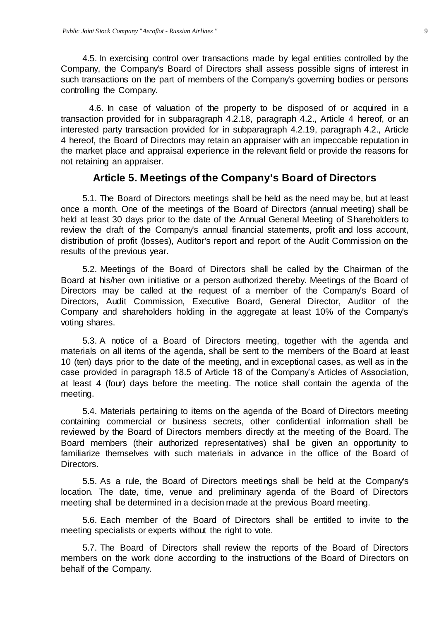4.5. In exercising control over transactions made by legal entities controlled by the Company, the Company's Board of Directors shall assess possible signs of interest in such transactions on the part of members of the Company's governing bodies or persons controlling the Company.

4.6. In case of valuation of the property to be disposed of or acquired in a transaction provided for in subparagraph 4.2.18, paragraph 4.2., Article 4 hereof, or an interested party transaction provided for in subparagraph 4.2.19, paragraph 4.2., Article 4 hereof, the Board of Directors may retain an appraiser with an impeccable reputation in the market place and appraisal experience in the relevant field or provide the reasons for not retaining an appraiser.

#### **Article 5. Meetings of the Company's Board of Directors**

<span id="page-8-0"></span>5.1. The Board of Directors meetings shall be held as the need may be, but at least once a month. One of the meetings of the Board of Directors (annual meeting) shall be held at least 30 days prior to the date of the Annual General Meeting of Shareholders to review the draft of the Company's annual financial statements, profit and loss account, distribution of profit (losses), Auditor's report and report of the Audit Commission on the results of the previous year.

5.2. Meetings of the Board of Directors shall be called by the Chairman of the Board at his/her own initiative or a person authorized thereby. Meetings of the Board of Directors may be called at the request of a member of the Company's Board of Directors, Audit Commission, Executive Board, General Director, Auditor of the Company and shareholders holding in the aggregate at least 10% of the Company's voting shares.

5.3. A notice of a Board of Directors meeting, together with the agenda and materials on all items of the agenda, shall be sent to the members of the Board at least 10 (ten) days prior to the date of the meeting, and in exceptional cases, as well as in the case provided in paragraph 18.5 of Article 18 of the Company's Articles of Association, at least 4 (four) days before the meeting. The notice shall contain the agenda of the meeting.

5.4. Materials pertaining to items on the agenda of the Board of Directors meeting containing commercial or business secrets, other confidential information shall be reviewed by the Board of Directors members directly at the meeting of the Board. The Board members (their authorized representatives) shall be given an opportunity to familiarize themselves with such materials in advance in the office of the Board of Directors.

5.5. As a rule, the Board of Directors meetings shall be held at the Company's location. The date, time, venue and preliminary agenda of the Board of Directors meeting shall be determined in a decision made at the previous Board meeting.

5.6. Each member of the Board of Directors shall be entitled to invite to the meeting specialists or experts without the right to vote.

5.7. The Board of Directors shall review the reports of the Board of Directors members on the work done according to the instructions of the Board of Directors on behalf of the Company.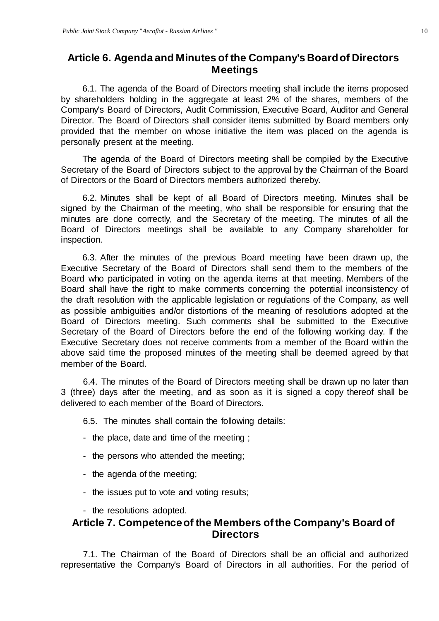## <span id="page-9-0"></span>**Article 6. Agenda and Minutes of the Company's Board of Directors Meetings**

6.1. The agenda of the Board of Directors meeting shall include the items proposed by shareholders holding in the aggregate at least 2% of the shares, members of the Company's Board of Directors, Audit Commission, Executive Board, Auditor and General Director. The Board of Directors shall consider items submitted by Board members only provided that the member on whose initiative the item was placed on the agenda is personally present at the meeting.

The agenda of the Board of Directors meeting shall be compiled by the Executive Secretary of the Board of Directors subject to the approval by the Chairman of the Board of Directors or the Board of Directors members authorized thereby.

6.2. Minutes shall be kept of all Board of Directors meeting. Minutes shall be signed by the Chairman of the meeting, who shall be responsible for ensuring that the minutes are done correctly, and the Secretary of the meeting. The minutes of all the Board of Directors meetings shall be available to any Company shareholder for inspection.

6.3. After the minutes of the previous Board meeting have been drawn up, the Executive Secretary of the Board of Directors shall send them to the members of the Board who participated in voting on the agenda items at that meeting. Members of the Board shall have the right to make comments concerning the potential inconsistency of the draft resolution with the applicable legislation or regulations of the Company, as well as possible ambiguities and/or distortions of the meaning of resolutions adopted at the Board of Directors meeting. Such comments shall be submitted to the Executive Secretary of the Board of Directors before the end of the following working day. If the Executive Secretary does not receive comments from a member of the Board within the above said time the proposed minutes of the meeting shall be deemed agreed by that member of the Board.

6.4. The minutes of the Board of Directors meeting shall be drawn up no later than 3 (three) days after the meeting, and as soon as it is signed a copy thereof shall be delivered to each member of the Board of Directors.

6.5. The minutes shall contain the following details:

- the place, date and time of the meeting ;
- the persons who attended the meeting;
- the agenda of the meeting;
- the issues put to vote and voting results;
- the resolutions adopted.

# <span id="page-9-1"></span>**Article 7. Competence of the Members of the Company's Board of Directors**

7.1. The Chairman of the Board of Directors shall be an official and authorized representative the Company's Board of Directors in all authorities. For the period of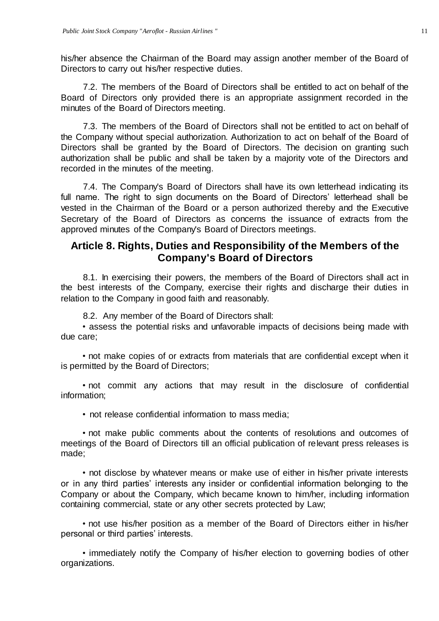his/her absence the Chairman of the Board may assign another member of the Board of Directors to carry out his/her respective duties.

7.2. The members of the Board of Directors shall be entitled to act on behalf of the Board of Directors only provided there is an appropriate assignment recorded in the minutes of the Board of Directors meeting.

7.3. The members of the Board of Directors shall not be entitled to act on behalf of the Company without special authorization. Authorization to act on behalf of the Board of Directors shall be granted by the Board of Directors. The decision on granting such authorization shall be public and shall be taken by a majority vote of the Directors and recorded in the minutes of the meeting.

7.4. The Company's Board of Directors shall have its own letterhead indicating its full name. The right to sign documents on the Board of Directors' letterhead shall be vested in the Chairman of the Board or a person authorized thereby and the Executive Secretary of the Board of Directors as concerns the issuance of extracts from the approved minutes of the Company's Board of Directors meetings.

### <span id="page-10-0"></span>**Article 8. Rights, Duties and Responsibility of the Members of the Company's Board of Directors**

8.1. In exercising their powers, the members of the Board of Directors shall act in the best interests of the Company, exercise their rights and discharge their duties in relation to the Company in good faith and reasonably.

8.2. Any member of the Board of Directors shall:

• assess the potential risks and unfavorable impacts of decisions being made with due care;

• not make copies of or extracts from materials that are confidential except when it is permitted by the Board of Directors;

• not commit any actions that may result in the disclosure of confidential information;

• not release confidential information to mass media;

• not make public comments about the contents of resolutions and outcomes of meetings of the Board of Directors till an official publication of relevant press releases is made;

• not disclose by whatever means or make use of either in his/her private interests or in any third parties' interests any insider or confidential information belonging to the Company or about the Company, which became known to him/her, including information containing commercial, state or any other secrets protected by Law;

• not use his/her position as a member of the Board of Directors either in his/her personal or third parties' interests.

• immediately notify the Company of his/her election to governing bodies of other organizations.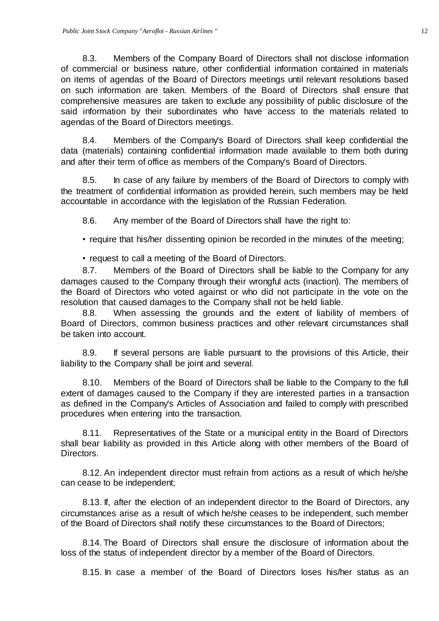8.3. Members of the Company Board of Directors shall not disclose information of commercial or business nature, other confidential information contained in materials on items of agendas of the Board of Directors meetings until relevant resolutions based on such information are taken. Members of the Board of Directors shall ensure that comprehensive measures are taken to exclude any possibility of public disclosure of the said information by their subordinates who have access to the materials related to agendas of the Board of Directors meetings.

8.4. Members of the Company's Board of Directors shall keep confidential the data (materials) containing confidential information made available to them both during and after their term of office as members of the Company's Board of Directors.

8.5. In case of any failure by members of the Board of Directors to comply with the treatment of confidential information as provided herein, such members may be held accountable in accordance with the legislation of the Russian Federation.

8.6. Any member of the Board of Directors shall have the right to:

• require that his/her dissenting opinion be recorded in the minutes of the meeting;

• request to call a meeting of the Board of Directors.

8.7. Members of the Board of Directors shall be liable to the Company for any damages caused to the Company through their wrongful acts (inaction). The members of the Board of Directors who voted against or who did not participate in the vote on the resolution that caused damages to the Company shall not be held liable.

8.8. When assessing the grounds and the extent of liability of members of Board of Directors, common business practices and other relevant circumstances shall be taken into account.

8.9. If several persons are liable pursuant to the provisions of this Article, their liability to the Company shall be joint and several.

8.10. Members of the Board of Directors shall be liable to the Company to the full extent of damages caused to the Company if they are interested parties in a transaction as defined in the Company's Articles of Association and failed to comply with prescribed procedures when entering into the transaction.

8.11. Representatives of the State or a municipal entity in the Board of Directors shall bear liability as provided in this Article along with other members of the Board of Directors.

8.12. An independent director must refrain from actions as a result of which he/she can cease to be independent;

8.13. If, after the election of an independent director to the Board of Directors, any circumstances arise as a result of which he/she ceases to be independent, such member of the Board of Directors shall notify these circumstances to the Board of Directors;

8.14. The Board of Directors shall ensure the disclosure of information about the loss of the status of independent director by a member of the Board of Directors.

8.15. In case a member of the Board of Directors loses his/her status as an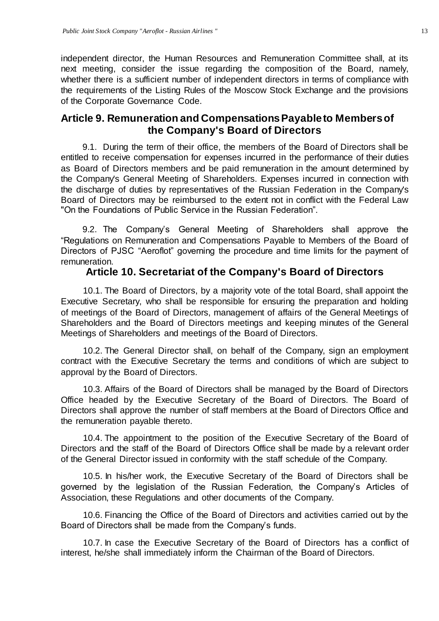independent director, the Human Resources and Remuneration Committee shall, at its next meeting, consider the issue regarding the composition of the Board, namely, whether there is a sufficient number of independent directors in terms of compliance with the requirements of the Listing Rules of the Moscow Stock Exchange and the provisions of the Corporate Governance Code.

# **Article 9. Remuneration and Compensations Payable to Members of the Company's Board of Directors**

9.1. During the term of their office, the members of the Board of Directors shall be entitled to receive compensation for expenses incurred in the performance of their duties as Board of Directors members and be paid remuneration in the amount determined by the Company's General Meeting of Shareholders. Expenses incurred in connection with the discharge of duties by representatives of the Russian Federation in the Company's Board of Directors may be reimbursed to the extent not in conflict with the Federal Law "On the Foundations of Public Service in the Russian Federation".

9.2. The Company's General Meeting of Shareholders shall approve the "Regulations on Remuneration and Compensations Payable to Members of the Board of Directors of PJSC "Aeroflot" governing the procedure and time limits for the payment of remuneration.

## **Article 10. Secretariat of the Company's Board of Directors**

<span id="page-12-0"></span>10.1. The Board of Directors, by a majority vote of the total Board, shall appoint the Executive Secretary, who shall be responsible for ensuring the preparation and holding of meetings of the Board of Directors, management of affairs of the General Meetings of Shareholders and the Board of Directors meetings and keeping minutes of the General Meetings of Shareholders and meetings of the Board of Directors.

10.2. The General Director shall, on behalf of the Company, sign an employment contract with the Executive Secretary the terms and conditions of which are subject to approval by the Board of Directors.

10.3. Affairs of the Board of Directors shall be managed by the Board of Directors Office headed by the Executive Secretary of the Board of Directors. The Board of Directors shall approve the number of staff members at the Board of Directors Office and the remuneration payable thereto.

10.4. The appointment to the position of the Executive Secretary of the Board of Directors and the staff of the Board of Directors Office shall be made by a relevant order of the General Director issued in conformity with the staff schedule of the Company.

10.5. In his/her work, the Executive Secretary of the Board of Directors shall be governed by the legislation of the Russian Federation, the Company's Articles of Association, these Regulations and other documents of the Company.

10.6. Financing the Office of the Board of Directors and activities carried out by the Board of Directors shall be made from the Company's funds.

10.7. In case the Executive Secretary of the Board of Directors has a conflict of interest, he/she shall immediately inform the Chairman of the Board of Directors.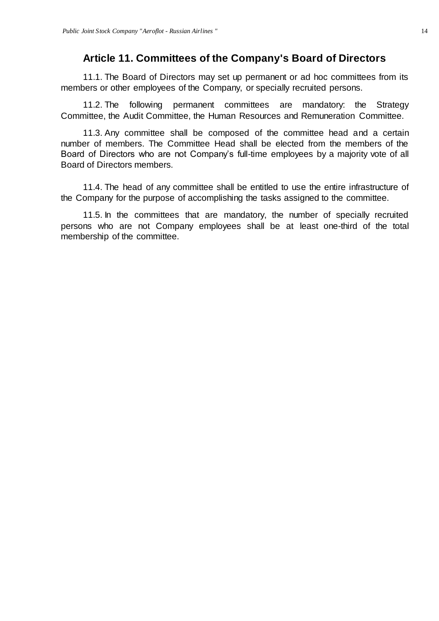### **Article 11. Committees of the Company's Board of Directors**

<span id="page-13-0"></span>11.1. The Board of Directors may set up permanent or ad hoc committees from its members or other employees of the Company, or specially recruited persons.

11.2. The following permanent committees are mandatory: the Strategy Committee, the Audit Committee, the Human Resources and Remuneration Committee.

11.3. Any committee shall be composed of the committee head and a certain number of members. The Committee Head shall be elected from the members of the Board of Directors who are not Company's full-time employees by a majority vote of all Board of Directors members.

11.4. The head of any committee shall be entitled to use the entire infrastructure of the Company for the purpose of accomplishing the tasks assigned to the committee.

11.5. In the committees that are mandatory, the number of specially recruited persons who are not Company employees shall be at least one-third of the total membership of the committee.